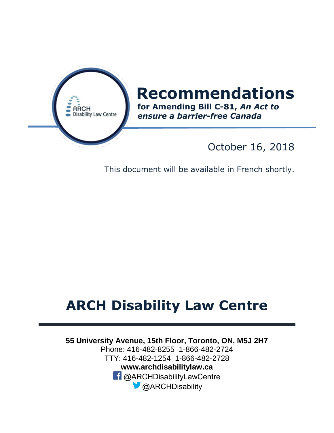

# **Recommendations**

**for Amending Bill C-81,** *An Act to ensure a barrier-free Canada*

### October 16, 2018

This document will be available in French shortly.

## **ARCH Disability Law Centre**

**55 University Avenue, 15th Floor, Toronto, ON, M5J 2H7**  Phone: 416-482-8255 1-866-482-2724 TTY: 416-482-1254 1-866-482-2728 **www.archdisabilitylaw.ca f** @ARCHDisabilityLawCentre **C** @ARCHDisability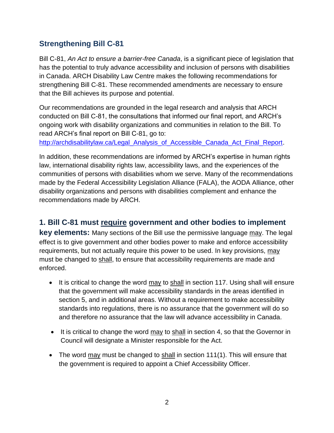#### **Strengthening Bill C-81**

Bill C-81, *An Act to ensure a barrier-free Canada*, is a significant piece of legislation that has the potential to truly advance accessibility and inclusion of persons with disabilities in Canada. ARCH Disability Law Centre makes the following recommendations for strengthening Bill C-81. These recommended amendments are necessary to ensure that the Bill achieves its purpose and potential.

Our recommendations are grounded in the legal research and analysis that ARCH conducted on Bill C-81, the consultations that informed our final report, and ARCH's ongoing work with disability organizations and communities in relation to the Bill. To read ARCH's final report on Bill C-81, go to:

[http://archdisabilitylaw.ca/Legal\\_Analysis\\_of\\_Accessible\\_Canada\\_Act\\_Final\\_Report.](http://archdisabilitylaw.ca/Legal_Analysis_of_Accessible_Canada_Act_Final_Report)

In addition, these recommendations are informed by ARCH's expertise in human rights law, international disability rights law, accessibility laws, and the experiences of the communities of persons with disabilities whom we serve. Many of the recommendations made by the Federal Accessibility Legislation Alliance (FALA), the AODA Alliance, other disability organizations and persons with disabilities complement and enhance the recommendations made by ARCH.

**1. Bill C-81 must require government and other bodies to implement key elements:** Many sections of the Bill use the permissive language may. The legal effect is to give government and other bodies power to make and enforce accessibility requirements, but not actually require this power to be used. In key provisions, may must be changed to shall, to ensure that accessibility requirements are made and enforced.

- It is critical to change the word may to shall in section 117. Using shall will ensure that the government will make accessibility standards in the areas identified in section 5, and in additional areas. Without a requirement to make accessibility standards into regulations, there is no assurance that the government will do so and therefore no assurance that the law will advance accessibility in Canada.
- It is critical to change the word may to shall in section 4, so that the Governor in Council will designate a Minister responsible for the Act.
- The word may must be changed to shall in section 111(1). This will ensure that the government is required to appoint a Chief Accessibility Officer.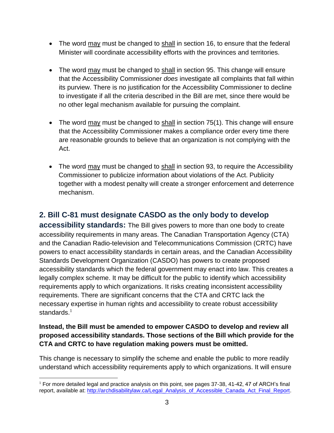- The word may must be changed to shall in section 16, to ensure that the federal Minister will coordinate accessibility efforts with the provinces and territories.
- The word may must be changed to shall in section 95. This change will ensure that the Accessibility Commissioner *does* investigate all complaints that fall within its purview. There is no justification for the Accessibility Commissioner to decline to investigate if all the criteria described in the Bill are met, since there would be no other legal mechanism available for pursuing the complaint.
- The word  $\frac{\text{max}}{\text{max}}$  must be changed to  $\frac{\text{shall}}{\text{ball}}$  in section 75(1). This change will ensure that the Accessibility Commissioner makes a compliance order every time there are reasonable grounds to believe that an organization is not complying with the Act.
- The word may must be changed to shall in section 93, to require the Accessibility Commissioner to publicize information about violations of the Act. Publicity together with a modest penalty will create a stronger enforcement and deterrence mechanism.

#### **2. Bill C-81 must designate CASDO as the only body to develop**

**accessibility standards:** The Bill gives powers to more than one body to create accessibility requirements in many areas. The Canadian Transportation Agency (CTA) and the Canadian Radio-television and Telecommunications Commission (CRTC) have powers to enact accessibility standards in certain areas, and the Canadian Accessibility Standards Development Organization (CASDO) has powers to create proposed accessibility standards which the federal government may enact into law. This creates a legally complex scheme. It may be difficult for the public to identify which accessibility requirements apply to which organizations. It risks creating inconsistent accessibility requirements. There are significant concerns that the CTA and CRTC lack the necessary expertise in human rights and accessibility to create robust accessibility standards. $1$ 

#### **Instead, the Bill must be amended to empower CASDO to develop and review all proposed accessibility standards. Those sections of the Bill which provide for the CTA and CRTC to have regulation making powers must be omitted.**

This change is necessary to simplify the scheme and enable the public to more readily understand which accessibility requirements apply to which organizations. It will ensure

<sup>&</sup>lt;sup>1</sup> For more detailed legal and practice analysis on this point, see pages 37-38, 41-42, 47 of ARCH's final report, available at: [http://archdisabilitylaw.ca/Legal\\_Analysis\\_of\\_Accessible\\_Canada\\_Act\\_Final\\_Report.](http://archdisabilitylaw.ca/Legal_Analysis_of_Accessible_Canada_Act_Final_Report)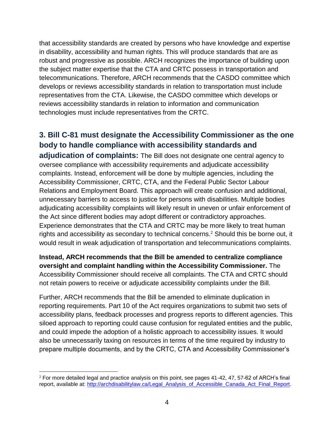that accessibility standards are created by persons who have knowledge and expertise in disability, accessibility and human rights. This will produce standards that are as robust and progressive as possible. ARCH recognizes the importance of building upon the subject matter expertise that the CTA and CRTC possess in transportation and telecommunications. Therefore, ARCH recommends that the CASDO committee which develops or reviews accessibility standards in relation to transportation must include representatives from the CTA. Likewise, the CASDO committee which develops or reviews accessibility standards in relation to information and communication technologies must include representatives from the CRTC.

#### **3. Bill C-81 must designate the Accessibility Commissioner as the one body to handle compliance with accessibility standards and**

**adjudication of complaints:** The Bill does not designate one central agency to oversee compliance with accessibility requirements and adjudicate accessibility complaints. Instead, enforcement will be done by multiple agencies, including the Accessibility Commissioner, CRTC, CTA, and the Federal Public Sector Labour Relations and Employment Board. This approach will create confusion and additional, unnecessary barriers to access to justice for persons with disabilities. Multiple bodies adjudicating accessibility complaints will likely result in uneven or unfair enforcement of the Act since different bodies may adopt different or contradictory approaches. Experience demonstrates that the CTA and CRTC may be more likely to treat human rights and accessibility as secondary to technical concerns.<sup>2</sup> Should this be borne out, it would result in weak adjudication of transportation and telecommunications complaints.

**Instead, ARCH recommends that the Bill be amended to centralize compliance oversight and complaint handling within the Accessibility Commissioner.** The Accessibility Commissioner should receive all complaints. The CTA and CRTC should not retain powers to receive or adjudicate accessibility complaints under the Bill.

Further, ARCH recommends that the Bill be amended to eliminate duplication in reporting requirements. Part 10 of the Act requires organizations to submit two sets of accessibility plans, feedback processes and progress reports to different agencies. This siloed approach to reporting could cause confusion for regulated entities and the public, and could impede the adoption of a holistic approach to accessibility issues. It would also be unnecessarily taxing on resources in terms of the time required by industry to prepare multiple documents, and by the CRTC, CTA and Accessibility Commissioner's

 $^2$  For more detailed legal and practice analysis on this point, see pages 41-42, 47, 57-62 of ARCH's final report, available at: [http://archdisabilitylaw.ca/Legal\\_Analysis\\_of\\_Accessible\\_Canada\\_Act\\_Final\\_Report.](http://archdisabilitylaw.ca/Legal_Analysis_of_Accessible_Canada_Act_Final_Report)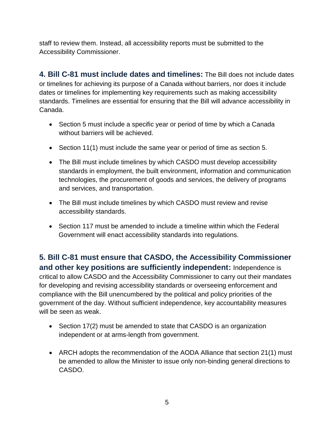staff to review them. Instead, all accessibility reports must be submitted to the Accessibility Commissioner.

**4. Bill C-81 must include dates and timelines:** The Bill does not include dates or timelines for achieving its purpose of a Canada without barriers, nor does it include dates or timelines for implementing key requirements such as making accessibility standards. Timelines are essential for ensuring that the Bill will advance accessibility in Canada.

- Section 5 must include a specific year or period of time by which a Canada without barriers will be achieved.
- Section 11(1) must include the same year or period of time as section 5.
- The Bill must include timelines by which CASDO must develop accessibility standards in employment, the built environment, information and communication technologies, the procurement of goods and services, the delivery of programs and services, and transportation.
- The Bill must include timelines by which CASDO must review and revise accessibility standards.
- Section 117 must be amended to include a timeline within which the Federal Government will enact accessibility standards into regulations.

**5. Bill C-81 must ensure that CASDO, the Accessibility Commissioner and other key positions are sufficiently independent:** Independence is critical to allow CASDO and the Accessibility Commissioner to carry out their mandates for developing and revising accessibility standards or overseeing enforcement and compliance with the Bill unencumbered by the political and policy priorities of the government of the day. Without sufficient independence, key accountability measures will be seen as weak.

- Section 17(2) must be amended to state that CASDO is an organization independent or at arms-length from government.
- ARCH adopts the recommendation of the AODA Alliance that section 21(1) must be amended to allow the Minister to issue only non-binding general directions to CASDO.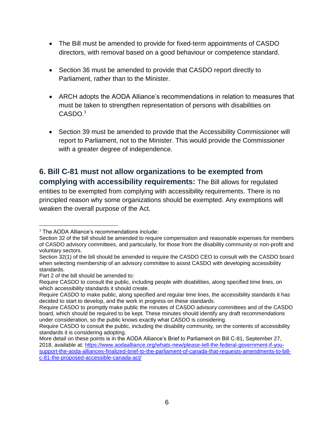- The Bill must be amended to provide for fixed-term appointments of CASDO directors, with removal based on a good behaviour or competence standard.
- Section 36 must be amended to provide that CASDO report directly to Parliament, rather than to the Minister.
- ARCH adopts the AODA Alliance's recommendations in relation to measures that must be taken to strengthen representation of persons with disabilities on  $CASDO.<sup>3</sup>$
- Section 39 must be amended to provide that the Accessibility Commissioner will report to Parliament, not to the Minister. This would provide the Commissioner with a greater degree of independence.

#### **6. Bill C-81 must not allow organizations to be exempted from complying with accessibility requirements:** The Bill allows for regulated entities to be exempted from complying with accessibility requirements. There is no

principled reason why some organizations should be exempted. Any exemptions will weaken the overall purpose of the Act.

 $\overline{a}$ 

<sup>&</sup>lt;sup>3</sup> The AODA Alliance's recommendations include:

Section 32 of the bill should be amended to require compensation and reasonable expenses for members of CASDO advisory committees, and particularly, for those from the disability community or non-profit and voluntary sectors.

Section 32(1) of the bill should be amended to require the CASDO CEO to consult with the CASDO board when selecting membership of an advisory committee to assist CASDO with developing accessibility standards.

Part 2 of the bill should be amended to:

Require CASDO to consult the public, including people with disabilities, along specified time lines, on which accessibility standards it should create.

Require CASDO to make public, along specified and regular time lines, the accessibility standards it has decided to start to develop, and the work in progress on these standards.

Require CASDO to promptly make public the minutes of CASDO advisory committees and of the CASDO board, which should be required to be kept. These minutes should identify any draft recommendations under consideration, so the public knows exactly what CASDO is considering.

Require CASDO to consult the public, including the disability community, on the contents of accessibility standards it is considering adopting.

More detail on these points is in the AODA Alliance's Brief to Parliament on Bill C-81, September 27, 2018, available at: [https://www.aodaalliance.org/whats-new/please-tell-the-federal-government-if-you](https://www.aodaalliance.org/whats-new/please-tell-the-federal-government-if-you-support-the-aoda-alliances-finalized-brief-to-the-parliament-of-canada-that-requests-amendments-to-bill-c-81-the-proposed-accessible-canada-act/)[support-the-aoda-alliances-finalized-brief-to-the-parliament-of-canada-that-requests-amendments-to-bill](https://www.aodaalliance.org/whats-new/please-tell-the-federal-government-if-you-support-the-aoda-alliances-finalized-brief-to-the-parliament-of-canada-that-requests-amendments-to-bill-c-81-the-proposed-accessible-canada-act/)[c-81-the-proposed-accessible-canada-act/](https://www.aodaalliance.org/whats-new/please-tell-the-federal-government-if-you-support-the-aoda-alliances-finalized-brief-to-the-parliament-of-canada-that-requests-amendments-to-bill-c-81-the-proposed-accessible-canada-act/)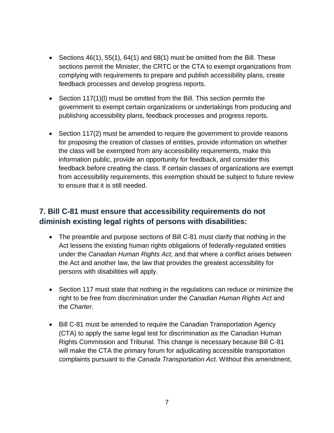- Sections  $46(1)$ ,  $55(1)$ ,  $64(1)$  and  $68(1)$  must be omitted from the Bill. These sections permit the Minister, the CRTC or the CTA to exempt organizations from complying with requirements to prepare and publish accessibility plans, create feedback processes and develop progress reports.
- Section 117(1)(l) must be omitted from the Bill. This section permits the government to exempt certain organizations or undertakings from producing and publishing accessibility plans, feedback processes and progress reports.
- Section 117(2) must be amended to require the government to provide reasons for proposing the creation of classes of entities, provide information on whether the class will be exempted from any accessibility requirements, make this information public, provide an opportunity for feedback, and consider this feedback before creating the class. If certain classes of organizations are exempt from accessibility requirements, this exemption should be subject to future review to ensure that it is still needed.

#### **7. Bill C-81 must ensure that accessibility requirements do not diminish existing legal rights of persons with disabilities:**

- The preamble and purpose sections of Bill C-81 must clarify that nothing in the Act lessens the existing human rights obligations of federally-regulated entities under the *Canadian Human Rights Act*, and that where a conflict arises between the Act and another law, the law that provides the greatest accessibility for persons with disabilities will apply.
- Section 117 must state that nothing in the regulations can reduce or minimize the right to be free from discrimination under the *Canadian Human Rights Act* and the *Charter*.
- Bill C-81 must be amended to require the Canadian Transportation Agency (CTA) to apply the same legal test for discrimination as the Canadian Human Rights Commission and Tribunal. This change is necessary because Bill C-81 will make the CTA the primary forum for adjudicating accessible transportation complaints pursuant to the *Canada Transportation Act*. Without this amendment,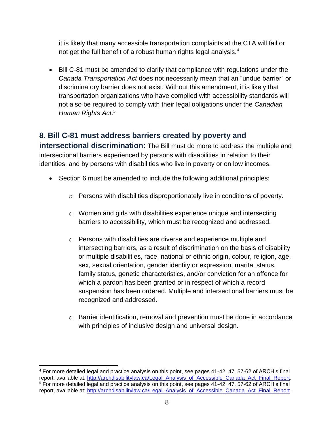it is likely that many accessible transportation complaints at the CTA will fail or not get the full benefit of a robust human rights legal analysis. $4$ 

 Bill C-81 must be amended to clarify that compliance with regulations under the *Canada Transportation Act* does not necessarily mean that an "undue barrier" or discriminatory barrier does not exist. Without this amendment, it is likely that transportation organizations who have complied with accessibility standards will not also be required to comply with their legal obligations under the *Canadian Human Rights Act*. 5

#### **8. Bill C-81 must address barriers created by poverty and**

**intersectional discrimination:** The Bill must do more to address the multiple and intersectional barriers experienced by persons with disabilities in relation to their identities, and by persons with disabilities who live in poverty or on low incomes.

- Section 6 must be amended to include the following additional principles:
	- o Persons with disabilities disproportionately live in conditions of poverty.
	- o Women and girls with disabilities experience unique and intersecting barriers to accessibility, which must be recognized and addressed.
	- o Persons with disabilities are diverse and experience multiple and intersecting barriers, as a result of discrimination on the basis of disability or multiple disabilities, race, national or ethnic origin, colour, religion, age, sex, sexual orientation, gender identity or expression, marital status, family status, genetic characteristics, and/or conviction for an offence for which a pardon has been granted or in respect of which a record suspension has been ordered. Multiple and intersectional barriers must be recognized and addressed.
	- $\circ$  Barrier identification, removal and prevention must be done in accordance with principles of inclusive design and universal design.

 $\overline{a}$ 

<sup>4</sup> For more detailed legal and practice analysis on this point, see pages 41-42, 47, 57-62 of ARCH's final report, available at: [http://archdisabilitylaw.ca/Legal\\_Analysis\\_of\\_Accessible\\_Canada\\_Act\\_Final\\_Report.](http://archdisabilitylaw.ca/Legal_Analysis_of_Accessible_Canada_Act_Final_Report)  $5$  For more detailed legal and practice analysis on this point, see pages 41-42, 47, 57-62 of ARCH's final report, available at: [http://archdisabilitylaw.ca/Legal\\_Analysis\\_of\\_Accessible\\_Canada\\_Act\\_Final\\_Report.](http://archdisabilitylaw.ca/Legal_Analysis_of_Accessible_Canada_Act_Final_Report)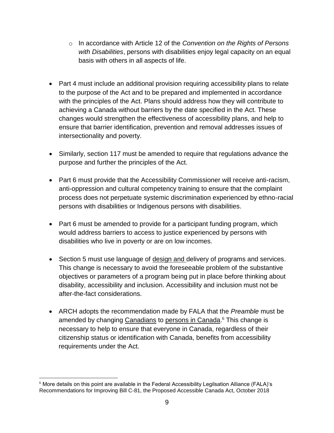- o In accordance with Article 12 of the *Convention on the Rights of Persons with Disabilities*, persons with disabilities enjoy legal capacity on an equal basis with others in all aspects of life.
- Part 4 must include an additional provision requiring accessibility plans to relate to the purpose of the Act and to be prepared and implemented in accordance with the principles of the Act. Plans should address how they will contribute to achieving a Canada without barriers by the date specified in the Act. These changes would strengthen the effectiveness of accessibility plans, and help to ensure that barrier identification, prevention and removal addresses issues of intersectionality and poverty.
- Similarly, section 117 must be amended to require that regulations advance the purpose and further the principles of the Act.
- Part 6 must provide that the Accessibility Commissioner will receive anti-racism, anti-oppression and cultural competency training to ensure that the complaint process does not perpetuate systemic discrimination experienced by ethno-racial persons with disabilities or Indigenous persons with disabilities.
- Part 6 must be amended to provide for a participant funding program, which would address barriers to access to justice experienced by persons with disabilities who live in poverty or are on low incomes.
- Section 5 must use language of design and delivery of programs and services. This change is necessary to avoid the foreseeable problem of the substantive objectives or parameters of a program being put in place before thinking about disability, accessibility and inclusion. Accessibility and inclusion must not be after-the-fact considerations.
- ARCH adopts the recommendation made by FALA that the *Preamble* must be amended by changing Canadians to persons in Canada.<sup>6</sup> This change is necessary to help to ensure that everyone in Canada, regardless of their citizenship status or identification with Canada, benefits from accessibility requirements under the Act.

 $\overline{a}$ <sup>6</sup> More details on this point are available in the Federal Accessibility Legilsation Alliance (FALA)'s Recommendations for Improving Bill C-81, the Proposed Accessible Canada Act, October 2018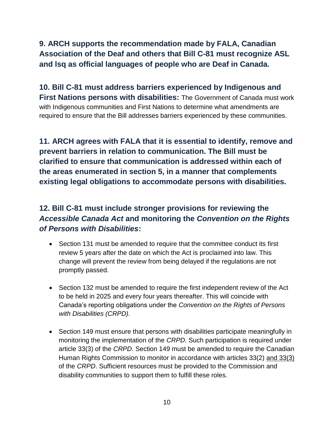#### **9. ARCH supports the recommendation made by FALA, Canadian Association of the Deaf and others that Bill C-81 must recognize ASL and lsq as official languages of people who are Deaf in Canada.**

**10. Bill C-81 must address barriers experienced by Indigenous and First Nations persons with disabilities:** The Government of Canada must work with Indigenous communities and First Nations to determine what amendments are required to ensure that the Bill addresses barriers experienced by these communities.

**11. ARCH agrees with FALA that it is essential to identify, remove and prevent barriers in relation to communication. The Bill must be clarified to ensure that communication is addressed within each of the areas enumerated in section 5, in a manner that complements existing legal obligations to accommodate persons with disabilities.** 

#### **12. Bill C-81 must include stronger provisions for reviewing the**  *Accessible Canada Act* **and monitoring the** *Convention on the Rights of Persons with Disabilities***:**

- Section 131 must be amended to require that the committee conduct its first review 5 years after the date on which the Act is proclaimed into law. This change will prevent the review from being delayed if the regulations are not promptly passed.
- Section 132 must be amended to require the first independent review of the Act to be held in 2025 and every four years thereafter. This will coincide with Canada's reporting obligations under the *Convention on the Rights of Persons with Disabilities (CRPD).*
- Section 149 must ensure that persons with disabilities participate meaningfully in monitoring the implementation of the *CRPD.* Such participation is required under article 33(3) of the *CRPD*. Section 149 must be amended to require the Canadian Human Rights Commission to monitor in accordance with articles 33(2) and 33(3) of the *CRPD*. Sufficient resources must be provided to the Commission and disability communities to support them to fulfill these roles.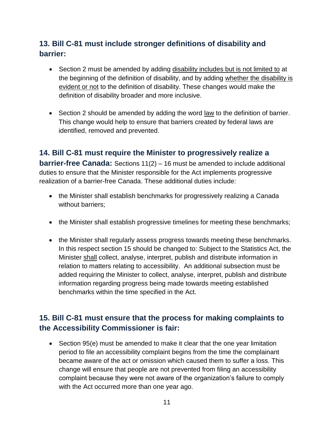#### **13. Bill C-81 must include stronger definitions of disability and barrier:**

- Section 2 must be amended by adding disability includes but is not limited to at the beginning of the definition of disability, and by adding whether the disability is evident or not to the definition of disability. These changes would make the definition of disability broader and more inclusive.
- Section 2 should be amended by adding the word law to the definition of barrier. This change would help to ensure that barriers created by federal laws are identified, removed and prevented.

**14. Bill C-81 must require the Minister to progressively realize a barrier-free Canada:** Sections 11(2) – 16 must be amended to include additional duties to ensure that the Minister responsible for the Act implements progressive realization of a barrier-free Canada. These additional duties include:

- the Minister shall establish benchmarks for progressively realizing a Canada without barriers;
- the Minister shall establish progressive timelines for meeting these benchmarks;
- the Minister shall regularly assess progress towards meeting these benchmarks. In this respect section 15 should be changed to: Subject to the Statistics Act, the Minister shall collect, analyse, interpret, publish and distribute information in relation to matters relating to accessibility. An additional subsection must be added requiring the Minister to collect, analyse, interpret, publish and distribute information regarding progress being made towards meeting established benchmarks within the time specified in the Act.

#### **15. Bill C-81 must ensure that the process for making complaints to the Accessibility Commissioner is fair:**

• Section 95(e) must be amended to make it clear that the one year limitation period to file an accessibility complaint begins from the time the complainant became aware of the act or omission which caused them to suffer a loss. This change will ensure that people are not prevented from filing an accessibility complaint because they were not aware of the organization's failure to comply with the Act occurred more than one year ago.